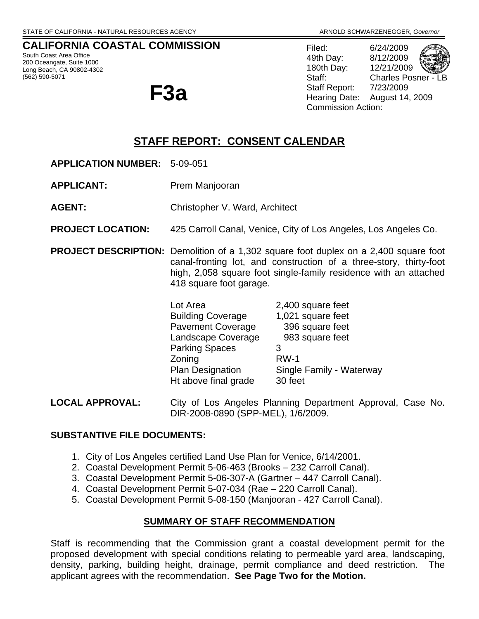### **CALIFORNIA COASTAL COMMISSION**

South Coast Area Office 200 Oceangate, Suite 1000 Long Beach, CA 90802-4302 (562) 590-5071

**F3a** 

Filed: 6/24/2009 49th Day: 8/12/2009 180th Day: 12/21/2009 Staff: Charles Posner - L Staff Report: 7/23/2009 Hearing Date: August 14, 2009 Commission Action:

# **STAFF REPORT: CONSENT CALENDAR**

- **APPLICATION NUMBER:** 5-09-051
- **APPLICANT:** Prem Manjooran
- **AGENT:** Christopher V. Ward, Architect
- **PROJECT LOCATION:** 425 Carroll Canal, Venice, City of Los Angeles, Los Angeles Co.
- **PROJECT DESCRIPTION:** Demolition of a 1,302 square foot duplex on a 2,400 square foot canal-fronting lot, and construction of a three-story, thirty-foot high, 2,058 square foot single-family residence with an attached 418 square foot garage.

| Lot Area                 | 2,400 square feet        |
|--------------------------|--------------------------|
| <b>Building Coverage</b> | 1,021 square feet        |
| <b>Pavement Coverage</b> | 396 square feet          |
| Landscape Coverage       | 983 square feet          |
| <b>Parking Spaces</b>    | З                        |
| Zoning                   | $RW-1$                   |
| <b>Plan Designation</b>  | Single Family - Waterway |
| Ht above final grade     | 30 feet                  |

**LOCAL APPROVAL:** City of Los Angeles Planning Department Approval, Case No. DIR-2008-0890 (SPP-MEL), 1/6/2009.

#### **SUBSTANTIVE FILE DOCUMENTS:**

- 1. City of Los Angeles certified Land Use Plan for Venice, 6/14/2001.
- 2. Coastal Development Permit 5-06-463 (Brooks 232 Carroll Canal).
- 3. Coastal Development Permit 5-06-307-A (Gartner 447 Carroll Canal).
- 4. Coastal Development Permit 5-07-034 (Rae 220 Carroll Canal).
- 5. Coastal Development Permit 5-08-150 (Manjooran 427 Carroll Canal).

### **SUMMARY OF STAFF RECOMMENDATION**

Staff is recommending that the Commission grant a coastal development permit for the proposed development with special conditions relating to permeable yard area, landscaping, density, parking, building height, drainage, permit compliance and deed restriction. The applicant agrees with the recommendation. **See Page Two for the Motion.**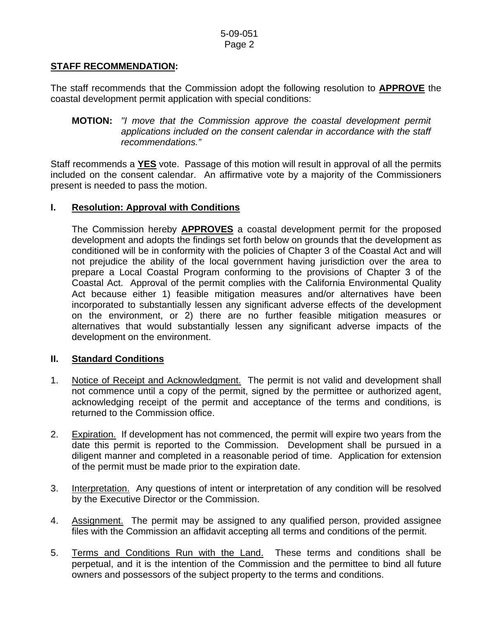### **STAFF RECOMMENDATION:**

The staff recommends that the Commission adopt the following resolution to **APPROVE** the coastal development permit application with special conditions:

 **MOTION:** *"I move that the Commission approve the coastal development permit applications included on the consent calendar in accordance with the staff recommendations."* 

Staff recommends a **YES** vote. Passage of this motion will result in approval of all the permits included on the consent calendar. An affirmative vote by a majority of the Commissioners present is needed to pass the motion.

### **I. Resolution: Approval with Conditions**

The Commission hereby **APPROVES** a coastal development permit for the proposed development and adopts the findings set forth below on grounds that the development as conditioned will be in conformity with the policies of Chapter 3 of the Coastal Act and will not prejudice the ability of the local government having jurisdiction over the area to prepare a Local Coastal Program conforming to the provisions of Chapter 3 of the Coastal Act. Approval of the permit complies with the California Environmental Quality Act because either 1) feasible mitigation measures and/or alternatives have been incorporated to substantially lessen any significant adverse effects of the development on the environment, or 2) there are no further feasible mitigation measures or alternatives that would substantially lessen any significant adverse impacts of the development on the environment.

### **II. Standard Conditions**

- 1. Notice of Receipt and Acknowledgment. The permit is not valid and development shall not commence until a copy of the permit, signed by the permittee or authorized agent, acknowledging receipt of the permit and acceptance of the terms and conditions, is returned to the Commission office.
- 2. Expiration. If development has not commenced, the permit will expire two years from the date this permit is reported to the Commission. Development shall be pursued in a diligent manner and completed in a reasonable period of time. Application for extension of the permit must be made prior to the expiration date.
- 3. Interpretation. Any questions of intent or interpretation of any condition will be resolved by the Executive Director or the Commission.
- 4. Assignment. The permit may be assigned to any qualified person, provided assignee files with the Commission an affidavit accepting all terms and conditions of the permit.
- 5. Terms and Conditions Run with the Land. These terms and conditions shall be perpetual, and it is the intention of the Commission and the permittee to bind all future owners and possessors of the subject property to the terms and conditions.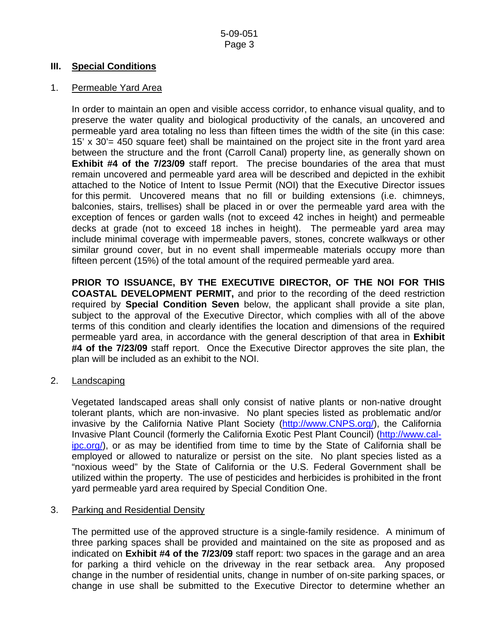#### **III. Special Conditions**

#### 1. Permeable Yard Area

 In order to maintain an open and visible access corridor, to enhance visual quality, and to preserve the water quality and biological productivity of the canals, an uncovered and permeable yard area totaling no less than fifteen times the width of the site (in this case: 15' x 30'= 450 square feet) shall be maintained on the project site in the front yard area between the structure and the front (Carroll Canal) property line, as generally shown on **Exhibit #4 of the 7/23/09** staff report. The precise boundaries of the area that must remain uncovered and permeable yard area will be described and depicted in the exhibit attached to the Notice of Intent to Issue Permit (NOI) that the Executive Director issues for this permit. Uncovered means that no fill or building extensions (i.e. chimneys, balconies, stairs, trellises) shall be placed in or over the permeable yard area with the exception of fences or garden walls (not to exceed 42 inches in height) and permeable decks at grade (not to exceed 18 inches in height). The permeable yard area may include minimal coverage with impermeable pavers, stones, concrete walkways or other similar ground cover, but in no event shall impermeable materials occupy more than fifteen percent (15%) of the total amount of the required permeable yard area.

 **PRIOR TO ISSUANCE, BY THE EXECUTIVE DIRECTOR, OF THE NOI FOR THIS COASTAL DEVELOPMENT PERMIT,** and prior to the recording of the deed restriction required by **Special Condition Seven** below, the applicant shall provide a site plan, subject to the approval of the Executive Director, which complies with all of the above terms of this condition and clearly identifies the location and dimensions of the required permeable yard area, in accordance with the general description of that area in **Exhibit #4 of the 7/23/09** staff report. Once the Executive Director approves the site plan, the plan will be included as an exhibit to the NOI.

2. Landscaping

Vegetated landscaped areas shall only consist of native plants or non-native drought tolerant plants, which are non-invasive. No plant species listed as problematic and/or invasive by the California Native Plant Society [\(http://www.CNPS.org/\)](http://www.cnps.org/), the California Invasive Plant Council (formerly the California Exotic Pest Plant Council) ([http://www.cal](http://www.cal-ipc.org/)[ipc.org/](http://www.cal-ipc.org/)), or as may be identified from time to time by the State of California shall be employed or allowed to naturalize or persist on the site. No plant species listed as a "noxious weed" by the State of California or the U.S. Federal Government shall be utilized within the property. The use of pesticides and herbicides is prohibited in the front yard permeable yard area required by Special Condition One.

#### 3. Parking and Residential Density

 The permitted use of the approved structure is a single-family residence. A minimum of three parking spaces shall be provided and maintained on the site as proposed and as indicated on **Exhibit #4 of the 7/23/09** staff report: two spaces in the garage and an area for parking a third vehicle on the driveway in the rear setback area. Any proposed change in the number of residential units, change in number of on-site parking spaces, or change in use shall be submitted to the Executive Director to determine whether an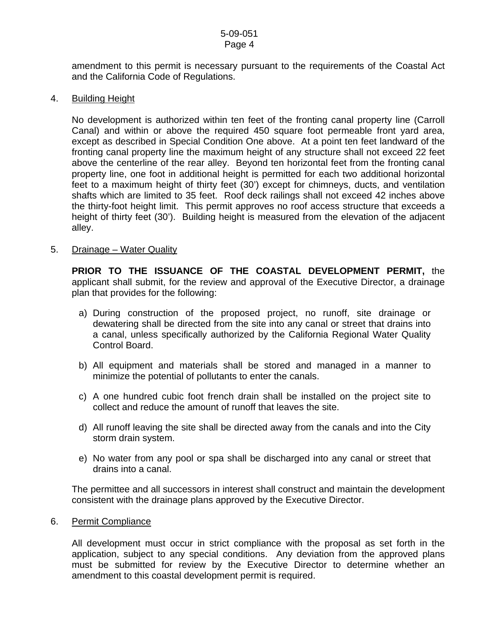amendment to this permit is necessary pursuant to the requirements of the Coastal Act and the California Code of Regulations.

#### 4. Building Height

No development is authorized within ten feet of the fronting canal property line (Carroll Canal) and within or above the required 450 square foot permeable front yard area, except as described in Special Condition One above. At a point ten feet landward of the fronting canal property line the maximum height of any structure shall not exceed 22 feet above the centerline of the rear alley. Beyond ten horizontal feet from the fronting canal property line, one foot in additional height is permitted for each two additional horizontal feet to a maximum height of thirty feet (30') except for chimneys, ducts, and ventilation shafts which are limited to 35 feet. Roof deck railings shall not exceed 42 inches above the thirty-foot height limit. This permit approves no roof access structure that exceeds a height of thirty feet (30'). Building height is measured from the elevation of the adjacent alley.

#### 5. Drainage – Water Quality

**PRIOR TO THE ISSUANCE OF THE COASTAL DEVELOPMENT PERMIT,** the applicant shall submit, for the review and approval of the Executive Director, a drainage plan that provides for the following:

- a) During construction of the proposed project, no runoff, site drainage or dewatering shall be directed from the site into any canal or street that drains into a canal, unless specifically authorized by the California Regional Water Quality Control Board.
- b) All equipment and materials shall be stored and managed in a manner to minimize the potential of pollutants to enter the canals.
- c) A one hundred cubic foot french drain shall be installed on the project site to collect and reduce the amount of runoff that leaves the site.
- d) All runoff leaving the site shall be directed away from the canals and into the City storm drain system.
- e) No water from any pool or spa shall be discharged into any canal or street that drains into a canal.

 The permittee and all successors in interest shall construct and maintain the development consistent with the drainage plans approved by the Executive Director.

#### 6. Permit Compliance

 All development must occur in strict compliance with the proposal as set forth in the application, subject to any special conditions. Any deviation from the approved plans must be submitted for review by the Executive Director to determine whether an amendment to this coastal development permit is required.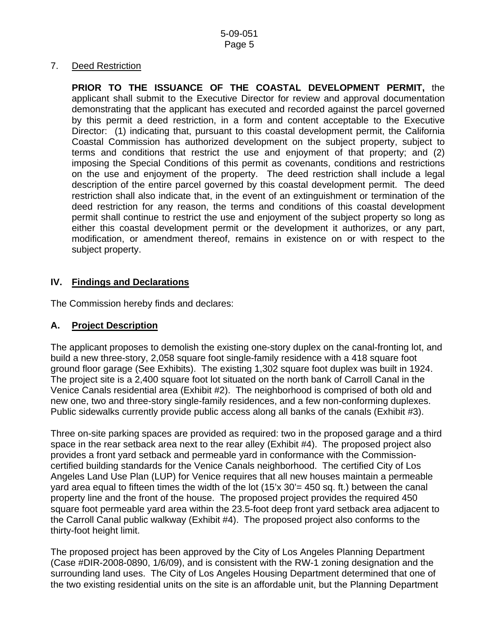### 7. Deed Restriction

 **PRIOR TO THE ISSUANCE OF THE COASTAL DEVELOPMENT PERMIT,** the applicant shall submit to the Executive Director for review and approval documentation demonstrating that the applicant has executed and recorded against the parcel governed by this permit a deed restriction, in a form and content acceptable to the Executive Director: (1) indicating that, pursuant to this coastal development permit, the California Coastal Commission has authorized development on the subject property, subject to terms and conditions that restrict the use and enjoyment of that property; and (2) imposing the Special Conditions of this permit as covenants, conditions and restrictions on the use and enjoyment of the property. The deed restriction shall include a legal description of the entire parcel governed by this coastal development permit. The deed restriction shall also indicate that, in the event of an extinguishment or termination of the deed restriction for any reason, the terms and conditions of this coastal development permit shall continue to restrict the use and enjoyment of the subject property so long as either this coastal development permit or the development it authorizes, or any part, modification, or amendment thereof, remains in existence on or with respect to the subject property.

### **IV. Findings and Declarations**

The Commission hereby finds and declares:

### **A. Project Description**

The applicant proposes to demolish the existing one-story duplex on the canal-fronting lot, and build a new three-story, 2,058 square foot single-family residence with a 418 square foot ground floor garage (See Exhibits). The existing 1,302 square foot duplex was built in 1924. The project site is a 2,400 square foot lot situated on the north bank of Carroll Canal in the Venice Canals residential area (Exhibit #2). The neighborhood is comprised of both old and new one, two and three-story single-family residences, and a few non-conforming duplexes. Public sidewalks currently provide public access along all banks of the canals (Exhibit #3).

Three on-site parking spaces are provided as required: two in the proposed garage and a third space in the rear setback area next to the rear alley (Exhibit #4). The proposed project also provides a front yard setback and permeable yard in conformance with the Commissioncertified building standards for the Venice Canals neighborhood. The certified City of Los Angeles Land Use Plan (LUP) for Venice requires that all new houses maintain a permeable yard area equal to fifteen times the width of the lot (15'x 30'= 450 sq. ft.) between the canal property line and the front of the house. The proposed project provides the required 450 square foot permeable yard area within the 23.5-foot deep front yard setback area adjacent to the Carroll Canal public walkway (Exhibit #4). The proposed project also conforms to the thirty-foot height limit.

The proposed project has been approved by the City of Los Angeles Planning Department (Case #DIR-2008-0890, 1/6/09), and is consistent with the RW-1 zoning designation and the surrounding land uses. The City of Los Angeles Housing Department determined that one of the two existing residential units on the site is an affordable unit, but the Planning Department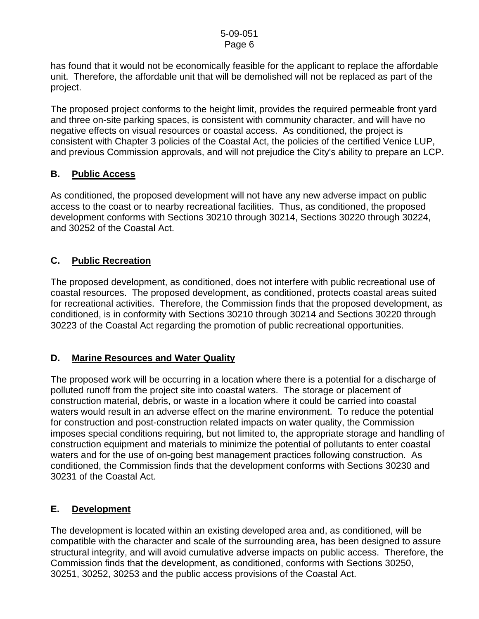#### 5-09-051 Page 6

has found that it would not be economically feasible for the applicant to replace the affordable unit. Therefore, the affordable unit that will be demolished will not be replaced as part of the project.

The proposed project conforms to the height limit, provides the required permeable front yard and three on-site parking spaces, is consistent with community character, and will have no negative effects on visual resources or coastal access. As conditioned, the project is consistent with Chapter 3 policies of the Coastal Act, the policies of the certified Venice LUP, and previous Commission approvals, and will not prejudice the City's ability to prepare an LCP.

### **B. Public Access**

As conditioned, the proposed development will not have any new adverse impact on public access to the coast or to nearby recreational facilities. Thus, as conditioned, the proposed development conforms with Sections 30210 through 30214, Sections 30220 through 30224, and 30252 of the Coastal Act.

### **C. Public Recreation**

The proposed development, as conditioned, does not interfere with public recreational use of coastal resources. The proposed development, as conditioned, protects coastal areas suited for recreational activities. Therefore, the Commission finds that the proposed development, as conditioned, is in conformity with Sections 30210 through 30214 and Sections 30220 through 30223 of the Coastal Act regarding the promotion of public recreational opportunities.

### **D. Marine Resources and Water Quality**

The proposed work will be occurring in a location where there is a potential for a discharge of polluted runoff from the project site into coastal waters. The storage or placement of construction material, debris, or waste in a location where it could be carried into coastal waters would result in an adverse effect on the marine environment. To reduce the potential for construction and post-construction related impacts on water quality, the Commission imposes special conditions requiring, but not limited to, the appropriate storage and handling of construction equipment and materials to minimize the potential of pollutants to enter coastal waters and for the use of on-going best management practices following construction. As conditioned, the Commission finds that the development conforms with Sections 30230 and 30231 of the Coastal Act.

### **E. Development**

The development is located within an existing developed area and, as conditioned, will be compatible with the character and scale of the surrounding area, has been designed to assure structural integrity, and will avoid cumulative adverse impacts on public access. Therefore, the Commission finds that the development, as conditioned, conforms with Sections 30250, 30251, 30252, 30253 and the public access provisions of the Coastal Act.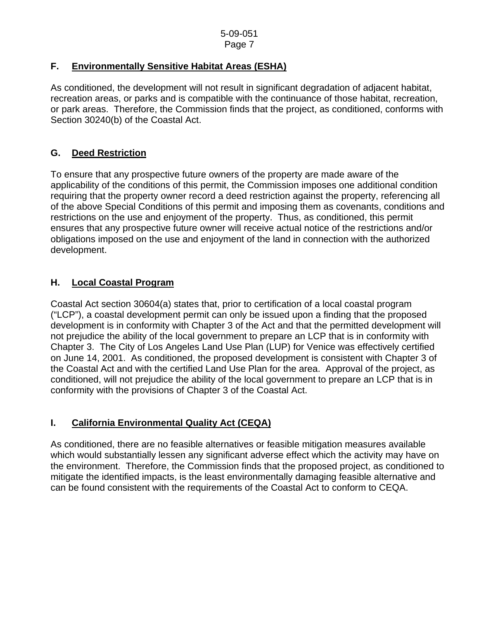# **F. Environmentally Sensitive Habitat Areas (ESHA)**

As conditioned, the development will not result in significant degradation of adjacent habitat, recreation areas, or parks and is compatible with the continuance of those habitat, recreation, or park areas. Therefore, the Commission finds that the project, as conditioned, conforms with Section 30240(b) of the Coastal Act.

# **G. Deed Restriction**

To ensure that any prospective future owners of the property are made aware of the applicability of the conditions of this permit, the Commission imposes one additional condition requiring that the property owner record a deed restriction against the property, referencing all of the above Special Conditions of this permit and imposing them as covenants, conditions and restrictions on the use and enjoyment of the property. Thus, as conditioned, this permit ensures that any prospective future owner will receive actual notice of the restrictions and/or obligations imposed on the use and enjoyment of the land in connection with the authorized development.

# **H. Local Coastal Program**

Coastal Act section 30604(a) states that, prior to certification of a local coastal program ("LCP"), a coastal development permit can only be issued upon a finding that the proposed development is in conformity with Chapter 3 of the Act and that the permitted development will not prejudice the ability of the local government to prepare an LCP that is in conformity with Chapter 3. The City of Los Angeles Land Use Plan (LUP) for Venice was effectively certified on June 14, 2001. As conditioned, the proposed development is consistent with Chapter 3 of the Coastal Act and with the certified Land Use Plan for the area. Approval of the project, as conditioned, will not prejudice the ability of the local government to prepare an LCP that is in conformity with the provisions of Chapter 3 of the Coastal Act.

# **I. California Environmental Quality Act (CEQA)**

As conditioned, there are no feasible alternatives or feasible mitigation measures available which would substantially lessen any significant adverse effect which the activity may have on the environment. Therefore, the Commission finds that the proposed project, as conditioned to mitigate the identified impacts, is the least environmentally damaging feasible alternative and can be found consistent with the requirements of the Coastal Act to conform to CEQA.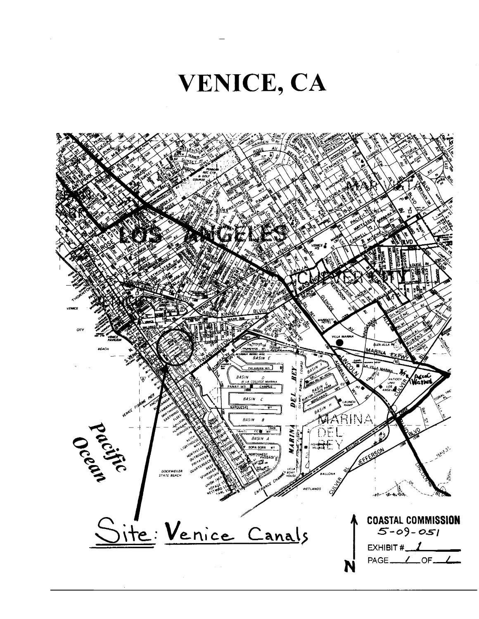

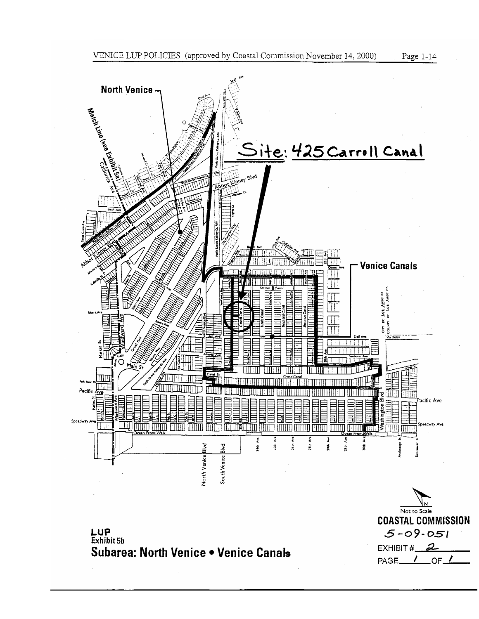

**COASTAL COMMISSION** 

 $5 - 09 - 051$ 

EXHIBIT # $2$ PAGE<sub>U</sub>

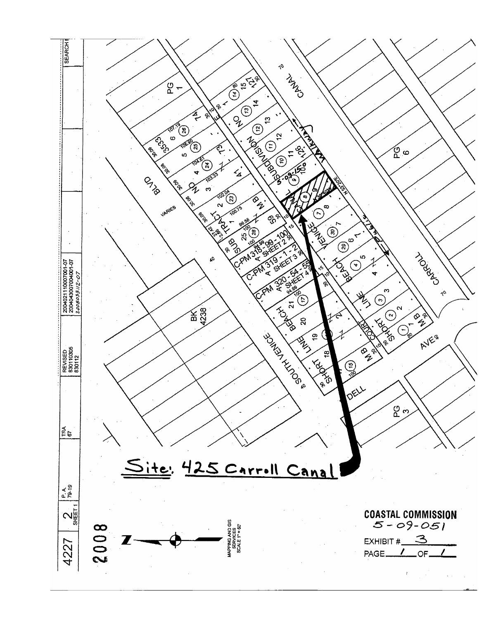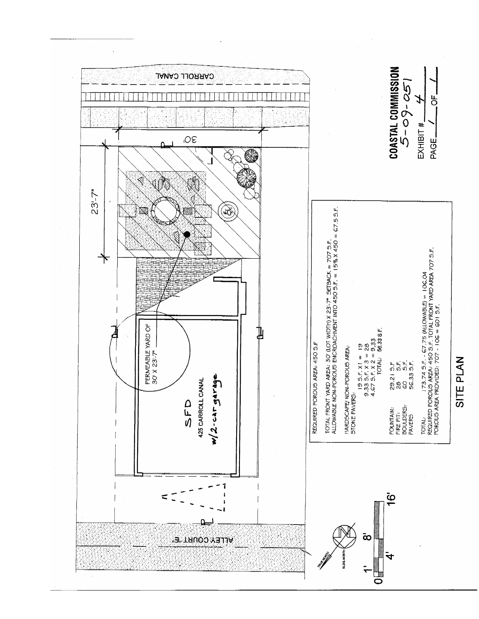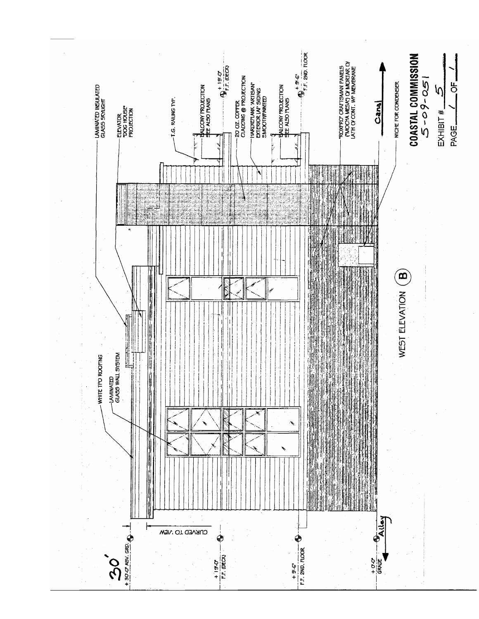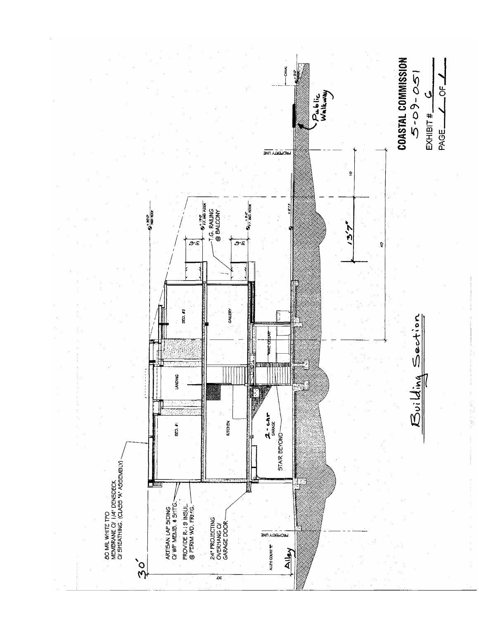